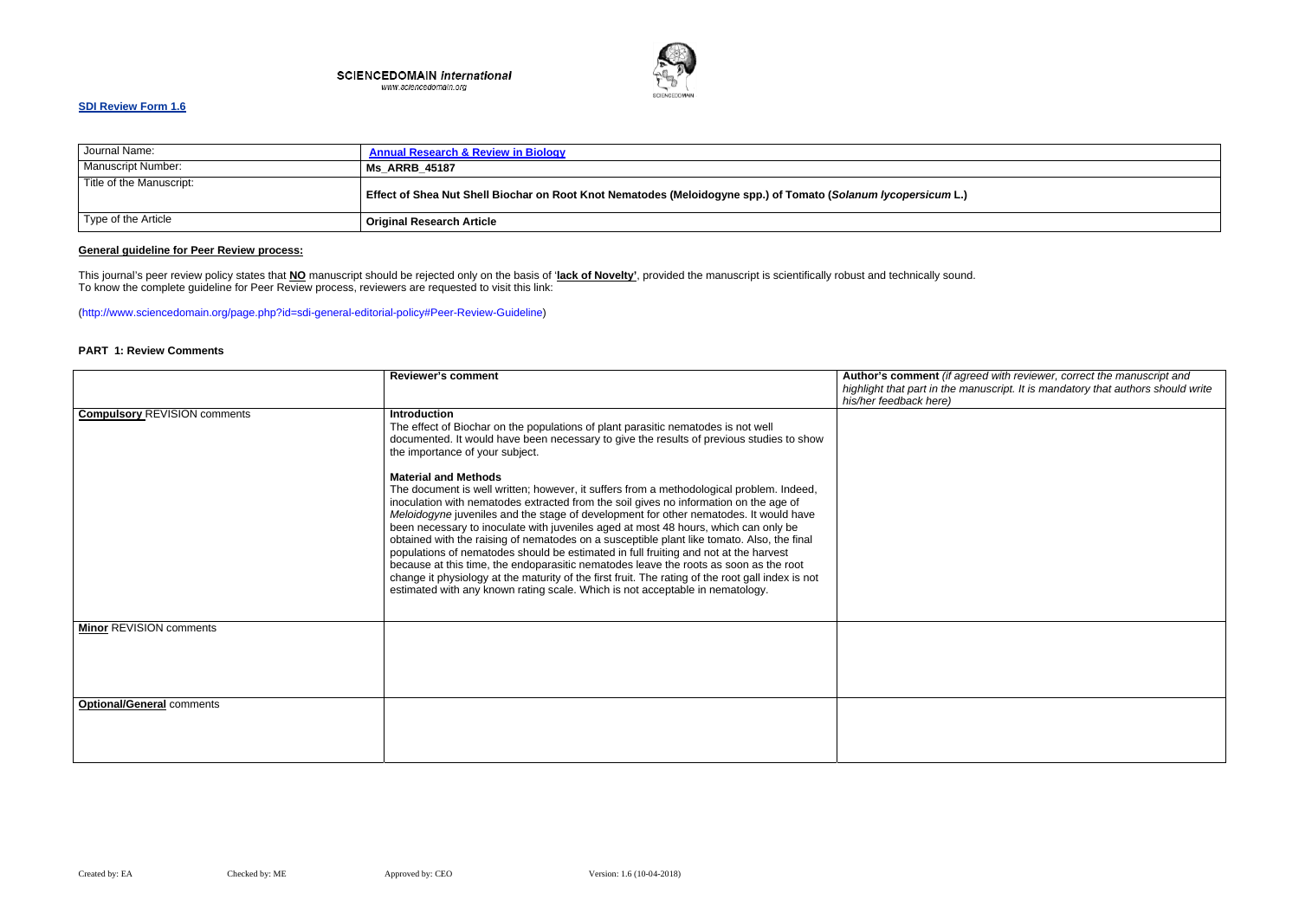#### **SCIENCEDOMAIN international** www.sciencedomain.org



### **SDI Review Form 1.6**

| Journal Name:            | <b>Annual Research &amp; Review in Biology</b>                                                                 |
|--------------------------|----------------------------------------------------------------------------------------------------------------|
| Manuscript Number:       | <b>Ms ARRB 45187</b>                                                                                           |
| Title of the Manuscript: | Effect of Shea Nut Shell Biochar on Root Knot Nematodes (Meloidogyne spp.) of Tomato (Solanum lycopersicum L.) |
| Type of the Article      | <b>Original Research Article</b>                                                                               |

### **General guideline for Peer Review process:**

ed with reviewer, correct the manuscript and *highlight that part in the manuscript. It is mandatory that authors should write* 

This journal's peer review policy states that **NO** manuscript should be rejected only on the basis of '**lack of Novelty'**, provided the manuscript is scientifically robust and technically sound. To know the complete guideline for Peer Review process, reviewers are requested to visit this link:

(http://www.sciencedomain.org/page.php?id=sdi-general-editorial-policy#Peer-Review-Guideline)

### **PART 1: Review Comments**

|                                     | <b>Reviewer's comment</b>                                                                                                                                                                                                                                                                                                                                                                                                                                                                                                                                                                                                                                                                                                                                                                                                                                             | Author's comment (if agre<br>highlight that part in the mar<br>his/her feedback here) |
|-------------------------------------|-----------------------------------------------------------------------------------------------------------------------------------------------------------------------------------------------------------------------------------------------------------------------------------------------------------------------------------------------------------------------------------------------------------------------------------------------------------------------------------------------------------------------------------------------------------------------------------------------------------------------------------------------------------------------------------------------------------------------------------------------------------------------------------------------------------------------------------------------------------------------|---------------------------------------------------------------------------------------|
| <b>Compulsory REVISION comments</b> | <b>Introduction</b><br>The effect of Biochar on the populations of plant parasitic nematodes is not well<br>documented. It would have been necessary to give the results of previous studies to show<br>the importance of your subject.                                                                                                                                                                                                                                                                                                                                                                                                                                                                                                                                                                                                                               |                                                                                       |
|                                     | <b>Material and Methods</b><br>The document is well written; however, it suffers from a methodological problem. Indeed,<br>inoculation with nematodes extracted from the soil gives no information on the age of<br>Meloidogyne juveniles and the stage of development for other nematodes. It would have<br>been necessary to inoculate with juveniles aged at most 48 hours, which can only be<br>obtained with the raising of nematodes on a susceptible plant like tomato. Also, the final<br>populations of nematodes should be estimated in full fruiting and not at the harvest<br>because at this time, the endoparasitic nematodes leave the roots as soon as the root<br>change it physiology at the maturity of the first fruit. The rating of the root gall index is not<br>estimated with any known rating scale. Which is not acceptable in nematology. |                                                                                       |
| <b>Minor REVISION comments</b>      |                                                                                                                                                                                                                                                                                                                                                                                                                                                                                                                                                                                                                                                                                                                                                                                                                                                                       |                                                                                       |
| <b>Optional/General comments</b>    |                                                                                                                                                                                                                                                                                                                                                                                                                                                                                                                                                                                                                                                                                                                                                                                                                                                                       |                                                                                       |